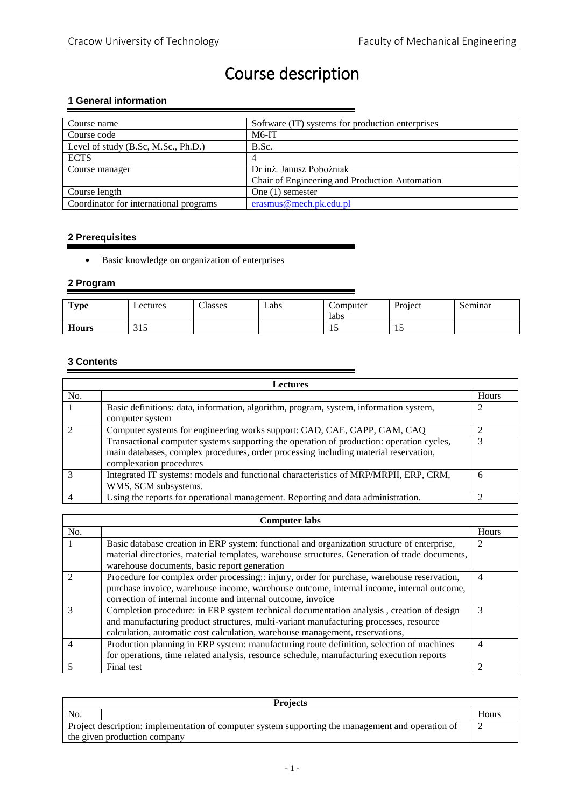# Course description

## **1 General information**

| Course name                            | Software (IT) systems for production enterprises |
|----------------------------------------|--------------------------------------------------|
| Course code                            | $M6-IT$                                          |
| Level of study (B.Sc, M.Sc., Ph.D.)    | B.Sc.                                            |
| <b>ECTS</b>                            |                                                  |
| Course manager                         | Dr inż. Janusz Pobożniak                         |
|                                        | Chair of Engineering and Production Automation   |
| Course length                          | One $(1)$ semester                               |
| Coordinator for international programs | erasmus@mech.pk.edu.pl                           |

#### **2 Prerequisites**

Basic knowledge on organization of enterprises

# **2 Program**

| <b>Type</b>  | Lectures   | Classes | Labs | Computer<br>labs | Project | Seminar |
|--------------|------------|---------|------|------------------|---------|---------|
| <b>Hours</b> | つ15<br>ں ر |         |      | ⊥ J              |         |         |

# **3 Contents**

| <b>Lectures</b> |                                                                                          |       |
|-----------------|------------------------------------------------------------------------------------------|-------|
| No.             |                                                                                          | Hours |
|                 | Basic definitions: data, information, algorithm, program, system, information system,    | 2     |
|                 | computer system                                                                          |       |
|                 | Computer systems for engineering works support: CAD, CAE, CAPP, CAM, CAQ                 |       |
|                 | Transactional computer systems supporting the operation of production: operation cycles, |       |
|                 | main databases, complex procedures, order processing including material reservation,     |       |
|                 | complexation procedures                                                                  |       |
|                 | Integrated IT systems: models and functional characteristics of MRP/MRPII, ERP, CRM,     | 6     |
|                 | WMS, SCM subsystems.                                                                     |       |
|                 | Using the reports for operational management. Reporting and data administration.         |       |

| <b>Computer labs</b> |                                                                                                |                |
|----------------------|------------------------------------------------------------------------------------------------|----------------|
| No.                  |                                                                                                | Hours          |
|                      | Basic database creation in ERP system: functional and organization structure of enterprise,    |                |
|                      | material directories, material templates, warehouse structures. Generation of trade documents, |                |
|                      | warehouse documents, basic report generation                                                   |                |
|                      | Procedure for complex order processing:: injury, order for purchase, warehouse reservation,    | $\overline{4}$ |
|                      | purchase invoice, warehouse income, warehouse outcome, internal income, internal outcome,      |                |
|                      | correction of internal income and internal outcome, invoice                                    |                |
|                      | Completion procedure: in ERP system technical documentation analysis, creation of design       |                |
|                      | and manufacturing product structures, multi-variant manufacturing processes, resource          |                |
|                      | calculation, automatic cost calculation, warehouse management, reservations,                   |                |
|                      | Production planning in ERP system: manufacturing route definition, selection of machines       | $\overline{4}$ |
|                      | for operations, time related analysis, resource schedule, manufacturing execution reports      |                |
|                      | Final test                                                                                     | 2              |

| <b>Projects</b>                                                                                   |  |       |  |
|---------------------------------------------------------------------------------------------------|--|-------|--|
| No.                                                                                               |  | Hours |  |
| Project description: implementation of computer system supporting the management and operation of |  |       |  |
| the given production company                                                                      |  |       |  |